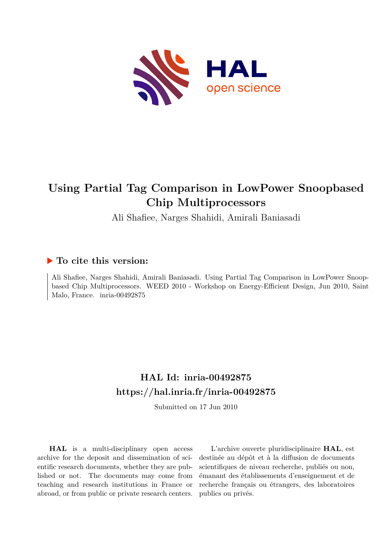

# **Using Partial Tag Comparison in LowPower Snoopbased Chip Multiprocessors**

Ali Shafiee, Narges Shahidi, Amirali Baniasadi

# **To cite this version:**

Ali Shafiee, Narges Shahidi, Amirali Baniasadi. Using Partial Tag Comparison in LowPower Snoopbased Chip Multiprocessors. WEED 2010 - Workshop on Energy-Efficient Design, Jun 2010, Saint Malo, France. inria-00492875

# **HAL Id: inria-00492875 <https://hal.inria.fr/inria-00492875>**

Submitted on 17 Jun 2010

**HAL** is a multi-disciplinary open access archive for the deposit and dissemination of scientific research documents, whether they are published or not. The documents may come from teaching and research institutions in France or abroad, or from public or private research centers.

L'archive ouverte pluridisciplinaire **HAL**, est destinée au dépôt et à la diffusion de documents scientifiques de niveau recherche, publiés ou non, émanant des établissements d'enseignement et de recherche français ou étrangers, des laboratoires publics ou privés.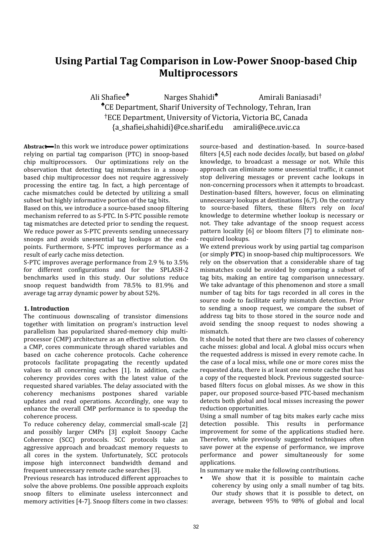# Using Partial Tag Comparison in Low-Power Snoop-based Chip **Multiprocessors**

Ali Shafiee<sup>◆</sup> Narges Shahidi<sup>◆</sup> Amirali Baniasadi<sup>†</sup> <sup>•</sup>CE Department, Sharif University of Technology, Tehran, Iran †ECE
Department,
University
of
Victoria,
Victoria
BC,
Canada {a\_shafiei,shahidi}@ce.sharif.edu amirali@ece.uvic.ca

Abstract—In this work we introduce power optimizations relying
 on
 partial
 tag
 comparison
 (PTC)
 in
 snoop‐based chip multiprocessors. Our optimizations rely on the observation that detecting tag mismatches in a snoopbased
 chip
 multiprocessor
 does
 not
 require
 aggressively processing the entire tag. In fact, a high percentage of cache
 mismatches
 could
 be
 detected
 by
 utilizing
 a
 small subset but highly informative portion of the tag bits.

Based
on
this,
we
introduce
a
source‐based
snoop
filtering mechanism
referred
to
as
S‐PTC.
In
S‐PTC
possible
remote tag
mismatches
are
detected
prior
to
sending
the
request. We reduce power as S-PTC prevents sending unnecessary snoops and avoids unessential tag lookups at the endpoints.
 Furthermore,
 S‐PTC
 improves
 performance
 as
 a result
of
early
cache
miss
detection.

S-PTC improves average performance from 2.9 % to 3.5% for different configurations and for the SPLASH-2 benchmarks used in this study. Our solutions reduce snoop request bandwidth from 78.5% to 81.9% and average
tag
array
dynamic
power
by
about
52%.

# **1. Introduction**

The
 continuous
 downscaling
 of
 transistor
 dimensions together
 with
 limitation
 on
 program's
 instruction
 level parallelism
 has
 popularized
 shared‐memory
 chip
 multi‐ processor
(CMP)
architecture
as
an
effective
solution.

On a
 CMP,
 cores
 communicate
 through
 shared
 variables
and based
 on
 cache
 coherence
 protocols.
 Cache
 coherence protocols
 facilitate
 propagating
 the
 recently
 updated values
 to
 all
 concerning
 caches
 [1].
 In
 addition,
 cache coherency provides cores with the latest value of the requested
shared
variables.
The
delay
associated
with
the coherency
 mechanisms
 postpones
 shared
 variable updates
 and
 read
 operations.
 Accordingly,
 one
 way
 to enhance
 the
 overall
 CMP
 performance
 is
 to
 speedup
 the coherence
process.

To reduce coherency delay, commercial small-scale [2] and
 possibly
 larger
 CMPs
 [3]
 exploit
 Snoopy
 Cache Coherence (SCC) protocols. SCC protocols take an aggressive
 approach
 and
 broadcast
 memory
 requests
 to all
 cores
 in
 the
 system.
 Unfortunately,
 SCC
 protocols impose
 high
 interconnect
 bandwidth
 demand
 and frequent
unnecessary
remote
cache
searches
[3].

Previous
research
has
introduced
different
approaches
to solve the above problems. One possible approach exploits snoop
 filters
 to
 eliminate
 useless
 interconnect
 and memory
activities
[4‐7].
Snoop
filters
come
in
two
classes: source‐based
 and
 destination‐based.
 In
 source‐based filters
[4,5]
each
node
decides *locally,*but
based
on *global* knowledge, to broadcast a message or not. While this approach
can
eliminate
some
unessential
traffic,
it
cannot stop delivering messages or prevent cache lookups in non‐concerning
processors
when
it
attempts
to
broadcast. Destination‐based
 filters,
 however,
 focus
 on
 eliminating unnecessary
lookups
at
destinations
[6,7].
On
the
contrary to
 source‐based
 filters,
 these
 filters
 rely
 on *local* knowledge
 to
 determine
 whether
lookup
is
 necessary
 or not. They take advantage of the snoop request access pattern locality [6] or bloom filters [7] to eliminate nonrequired
lookups.

We extend previous work by using partial tag comparison (or
simply **PTC**)
in
snoop‐based
chip
multiprocessors.

We rely on the observation that a considerable share of tag mismatches
 could
 be
 avoided
 by
 comparing
 a
 subset
 of tag bits, making an entire tag comparison unnecessary. We take advantage of this phenomenon and store a small number of tag bits for tags recorded in all cores in the source node to facilitate early mismatch detection. Prior to
 sending
 a
 snoop
 request,
 we
 compare
 the
 subset
 of address tag bits to those stored in the source node and avoid sending the snoop request to nodes showing a mismatch.

It should be noted that there are two classes of coherency cache
misses:
global
and
local.
A
global
miss
occurs
when the
requested
address
is
missed
in
every
remote
cache.
In the
case
of
a
local
miss,
while
one
or
more
cores
miss
the requested
data,
there
is
at
least
one
remote
cache
that
has a
copy
of
the
requested
block.
Previous
suggested
source‐ based
 filters
 focus
 on
 global
 misses.
 As
 we
 show
 in
 this paper, our proposed source-based PTC-based mechanism detects
both
global
and
local
misses
increasing
the
power reduction
opportunities.

Using a small number of tag bits makes early cache miss detection
 possible.
 This
 results
 in
 performance improvement for some of the applications studied here. Therefore, while previously suggested techniques often save power at the expense of performance, we improve performance
 and
 power
 simultaneously
 for
 some applications.

In
summary
we
make
the
following
contributions.

We show that it is possible to maintain cache coherency by using only a small number of tag bits. Our study shows that it is possible to detect, on average, between
 95%
 to
 98%
 of
 global
 and
 local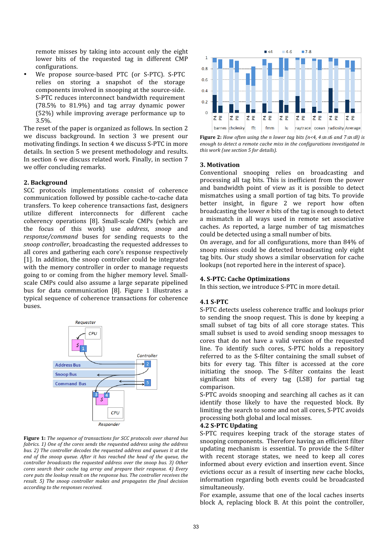remote
 misses
 by
 taking
 into
 account
 only
 the
 eight lower bits of the requested tag in different CMP configurations.

We propose source-based PTC (or S-PTC). S-PTC relies
 on
 storing
 a snapshot
 of
 the
 storage components
involved
in
snooping
at
the
source‐side. S‐PTC
reduces
interconnect
bandwidth
requirement (78.5%
 to
 81.9%)
 and
 tag
 array
 dynamic
 power (52%)
 while
 improving
 average
 performance
 up
 to 3.5%.

The reset of the paper is organized as follows. In section 2 we
 discuss
 background.
 In
 section
 3
 we
 present
 our motivating
findings.
In
section
4
we
discuss
S‐PTC
in
more details.
 In
section
5
we
present
methodology
and
results. In section 6 we discuss related work. Finally, in section 7 we
offer
concluding
remarks.

#### **2.
Background**

SCC
 protocols
 implementations
 consist
 of
 coherence communication
 followed
 by
 possible
 cache‐to‐cache
 data transfers.
 To
 keep
 coherence
 transactions
 fast,
 designers utilize
 different
 interconnects
 for
 different
 cache coherency
 operations
 [8]. Small‐scale
 CMPs
 (which
 are the
 focus
 of
 this
 work)
 use *address*, *snoop* and response/command buses for sending requests to the snoop controller, broadcasting the requested addresses to all
cores
and
gathering
each
core's
 response
 respectively [1].
 In
 addition,
 the
 snoop
 controller
 could
 be
integrated with the memory controller in order to manage requests going
 to
or
coming
 from
 the
higher
memory
level.
Small‐ scale
 CMPs
 could
 also
 assume
 a
large
 separate
 pipelined bus for data communication [8]. Figure 1 illustrates a typical
sequence
of
coherence
 transactions
 for
coherence buses.



Figure 1: The sequence of transactions for SCC protocols over shared bus fabrics. 1) One of the cores sends the requested address using the address bus. 2) The controller decodes the requested address and queues it at the end of the snoop queue. After it has reached the head of the queue, the *controller
 broadcasts
 the
 requested
 address
 over
 the
 snoop
 bus.
 3)
Other cores
 search
 their
 cache
 tag
 array
 and
 prepare
 their
 response.
 4)
 Every core
puts
the
lookup
result
on
the
response
bus.
The
controller
receives
the result.
 5)
 The
 snoop
 controller
 makes
 and
 propagates
 the
 final
 decision according
to
the
responses
received.*



**Figure 2:** How often using the *n* lower tag bits (n<4, 4≤*n* ≤6 and 7≤*n* ≤8) is enough to detect a remote cache miss in the configurations investigated in *this
work
(see
section
5
for
details).* 

#### **3.
Motivation**

Conventional
 snooping
 relies
 on
 broadcasting
 and processing
 all
 tag
 bits.
 This
is
inefficient
 from
 the
 power and bandwidth point of view as it is possible to detect mismatches using a small portion of tag bits. To provide better
 insight,
 in
 figure
 2
 we
 report
 how
 often broadcasting the lower *n* bits of the tag is enough to detect a mismatch in all ways used in remote set associative caches. As
 reported,
 a
 large
 number
 of
 tag
 mismatches could
be detected
using
a
small
number
of
bits.

On average, and for all configurations, more than 84% of snoop
 misses
 could
 be
 detected
 broadcasting
 only
 eight tag
bits.
Our
study
shows
a
similar
observation
 for
cache lookups (not reported here in the interest of space).

### **4.
SPTC:
Cache
Optimizations**

In
this
section,
we
introduce
S‐PTC
in
more
detail.

### **4.1
SPTC**

S‐PTC
detects
useless
coherence
traffic
and
lookups
prior to sending the snoop request. This is done by keeping a small subset of tag bits of all core storage states. This small subset is used to avoid sending snoop messages to cores
 that
 do
 not
 have
 a
 valid
 version
 of
 the
 requested line. To identify such cores, S-PTC holds a repository referred to as the S-filter containing the small subset of bits
 for
 every
 tag.
 This
 filter
 is
 accessed at
 the
 core initiating the snoop. The S-filter contains the least significant bits of every tag (LSB) for partial tag comparison.

S-PTC avoids snooping and searching all caches as it can identify those likely to have the requested block. By limiting the search to some and not all cores, S-PTC avoids processing
both
global
and
local
misses.

#### **4.2
SPTC
Updating**

S-PTC requires keeping track of the storage states of snooping
components.

Therefore
having
an
efficient
filter updating
 mechanism
 is
 essential. To
 provide
 the
 S‐filter with
 recent
 storage
 states,
 we
 need
 to
 keep
 all
 cores informed
about
every
eviction
and
insertion
event.
Since evictions occur as a result of inserting new cache blocks, information
 regarding
 both
 events
 could
 be
 broadcasted simultaneously.

For example, assume that one of the local caches inserts block A, replacing block B. At this point the controller,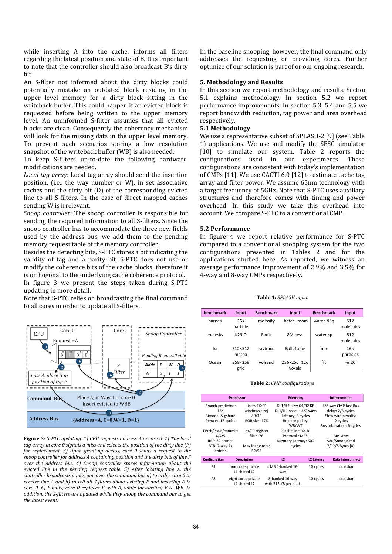while inserting A into the cache, informs all filters regarding
the
latest
position
and
state
of
B.
It
is
important to
note
that
the
controller
should
also
broadcast
B's
dirty bit.

An S-filter not informed about the dirty blocks could potentially
 mistake
 an
 outdated
 block
 residing
 in
 the upper level memory for a dirty block sitting in the writeback
buffer.
This
could
happen
if
an
evicted
block
is requested
 before
 being
 written
 to
 the
 upper
 memory level.
 An
 uninformed
 S‐filter
 assumes
 that
 all
 evicted blocks
are
clean.
Consequently
the
coherency
mechanism will look for the missing data in the upper level memory. To
 prevent
 such
 scenarios
 storing
 a
 low
 resolution snapshot of the writeback buffer (WB) is also needed.

To keep S-filters up-to-date the following hardware modifications
are
needed.

Local tag array: Local tag array should send the insertion position,
 (i.e.,
 the
 way
 number
 or
 W),
 in
 set
 associative caches
and
 the
dirty
bit
 (D)
of
 the
corresponding
evicted line to all S-filters. In the case of direct mapped caches sending
W
is
irrelevant.

Snoop controller: The snoop controller is responsible for sending
the
required
information
to
all
S‐filters.
Since
the snoop
controller
has
to
accommodate
the
three
new
fields used
 by
 the
 address
 bus,
 we
 add
 them
 to
 the pending memory
request
table
of
the
memory
controller.

Besides
the
detecting
bits,
S‐PTC stores
a
bit
indicating
the validity of tag and a parity bit. S-PTC does not use or modify
the
coherence
bits
of
the
cache
blocks;
therefore
it is
orthogonal
to
the
underlying
cache
coherence
protocol. In
 figure
 3
 we present
 the
 steps
 taken
 during
 S‐PTC updating
in
more
detail.

Note that S-PTC relies on broadcasting the final command to
all
cores
in
order
to
update
all
S‐filters.



Figure 3: S-PTC updating. 1) CPU requests address A in core 0. 2) The local tag array in core 0 signals a miss and selects the position of the dirty line (F) for replacement. 3) Upon granting access, core 0 sends a request to the *snoop
controller
for
address
A
containing
position
and
the
dirty
bits
of
line
F*  over the address bus. 4) Snoop controller stores information about the evicted line in the pending request table. 5) After locating line A, the controller broadcasts a message over the command bus a) to order core 0 to *receive line A and b)* to tell all S-filters about evicting F and inserting A in core 0. 6) Finally, core 0 replaces F with A, while forwarding F to WB. In addition, the S-filters are updated while they snoop the command bus to get *the
latest
event.*

In
the
baseline
snooping,
however,
the
final
command
only addresses the requesting or providing cores. Further optimize
of
our
solution
is
part
of
or
our
ongoing
research.

# **5.
Methodology
and
Results**

In
this
section
we
report
methodology
and
results.
Section 5.1
 explains
 methodology. In
 section
 5.2
 we
 report performance
improvements.
 In
section
5.3,
5.4
and
5.5
we report
bandwidth
reduction,
tag
power
and
area
overhead respectively.

# **5.1
Methodology**

We use a representative subset of SPLASH-2 [9] (see Table 1)
 applications. We
 use
 and
 modify
 the
 SESC
 simulator [10] to simulate our system. Table 2 reports the configurations
 used
 in
 our
 experiments. These configurations are consistent with today's implementation of
CMPs
[11].
We
use
CACTI
6.0
[12]
to
estimate
cache
tag array
and
filter
power.
We
assume
65nm
technology
with a
target
frequency
of
5GHz.
Note
that
S‐PTC
uses
auxiliary structures
 and
 therefore
 comes
 with
 timing
 and
 power overhead. In this study we take this overhead into account. We
compare
S‐PTC
to
a
conventional
CMP.

#### **5.2
Performance**

In
 figure
 4
 we
 report relative
 performance
 for
 S‐PTC compared
 to
a
conventional
snooping
system
 for
 the
 two configurations
 presented
 in
 Tables
 2 and
 for
 the applications
 studied
 here. As
 reported,
 we
 witness
 an average
performance
improvement
of
2.9%
and
3.5%
 for 4‐way
and
8‐way
CMPs
respectively.

#### **Table
1:** *SPLASH
input*

| benchmark | input             | <b>Benchmark</b> | input                 | <b>Benchmark</b> | input            |
|-----------|-------------------|------------------|-----------------------|------------------|------------------|
| barnes    | 16k<br>particle   | radiosity        | -batch -room          | water-NSq        | 512<br>molecules |
| cholesky  | K29.O             | Radix            | 8M keys               | water-sp         | 512<br>molecules |
| lи        | 512×512<br>matrix | raytrace         | Balls4.env            | fmm              | 16k<br>particles |
| Ocean     | 258×258<br>grid   | volrend          | 256×256×126<br>voxels | fft              | $-m20$           |

#### **Table
2:** *CMP
configurations*

| <b>Processor</b>          |                                    |                    | <b>Memory</b>   |                                | Interconnect |                      |                           |
|---------------------------|------------------------------------|--------------------|-----------------|--------------------------------|--------------|----------------------|---------------------------|
|                           | (instr. FX/FP<br>Branch predictor: |                    |                 | DL1/IL1 size: 64/32 KB         |              | 4/8 way CMP fast Bus |                           |
| 16K                       |                                    | windows size)      |                 | DL1/IL1 Asso.: 4/2 ways        |              | delay: 2/3 cycles    |                           |
| Bimodal & gshare          |                                    | 80/32              |                 | Latency: 3 cycles              |              | Slow wire penalty:   |                           |
| Penalty: 17 cycles        |                                    | ROB size: 176      |                 | Replace policy:                |              | 2 cycles             |                           |
|                           |                                    |                    |                 | WB/WT                          |              |                      | Bus arbitration: 6 cycles |
| Fetch/issue/commit:       |                                    | Int/FP register    |                 | Cache line: 64 B               |              |                      |                           |
| 4/4/5                     |                                    | file:176           |                 | Protocol: MESI                 |              | Bus size:            |                           |
| RAS: 32 entries           |                                    |                    |                 | Memory Latency: 500            |              | Adr./Snoop/Cmd       |                           |
| BTB: 2-way 2k             |                                    | Max load/store:    |                 | cycles                         |              | 7/12/8 Bytes [8]     |                           |
| entries                   |                                    | 62/56              |                 |                                |              |                      |                           |
| Configuration             |                                    | <b>Description</b> |                 | L2                             | L2 Latency   |                      | <b>Data Interconnect</b>  |
| P <sub>4</sub>            | four cores private                 |                    |                 | 4 MB 4-banked 16-<br>10 cycles |              |                      | crossbar                  |
|                           |                                    | L1 shared L2       |                 | way                            |              |                      |                           |
| P8<br>eight cores private |                                    |                    | 8-banked 16-way |                                | 10 cycles    |                      | crossbar                  |
|                           |                                    | L1 shared L2       |                 | with 512 KB per bank           |              |                      |                           |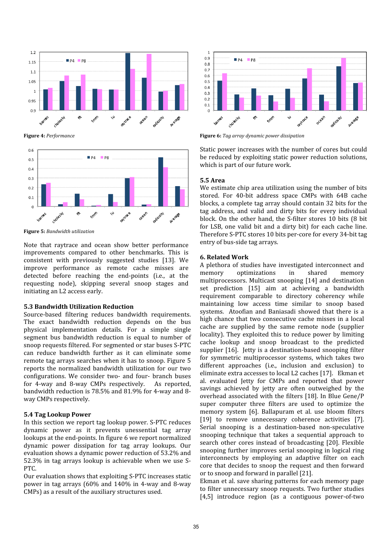

**Figure
4:** *Performance* 



**Figure
5:** *Bandwidth
utilization*

Note
 that raytrace
 and
 ocean
 show
 better
 performance improvements
 compared
 to
 other
 benchmarks.
 This
 is consistent
 with
 previously
 suggested
 studies
 [13].
 We improve
 performance as
 remote
 cache
 misses
 are detected before reaching the end-points (i.e., at the requesting
 node),
 skipping
 several
 snoop
 stages
 and initiating
an
L2
access
early.

#### **5.3
Bandwidth
Utilization
Reduction**

Source‐based
 filtering
 reduces
 bandwidth
 requirements. The
 exact
 bandwidth
 reduction
 depends
 on
 the
 bus physical
 implementation
 details.
 For
 a
 simple
 single segment bus bandwidth reduction is equal to number of snoop
requests
filtered.
For
segmented
or
star
buses
S‐PTC can
 reduce
 bandwidth
 further
 as
 it
 can
 eliminate
 some remote
 tag
arrays
searches
when
it
has
 to
snoop.
Figure
5 reports
 the
 normalized
 bandwidth utilization
for
 our
 two configurations.
 We
 consider
 two‐
 and
 four‐
 branch
 buses for 4-way and 8-way CMPs respectively. As reported, bandwidth reduction is 78.5% and 81.9% for 4-way and 8way
CMPs
respectively.

# **5.4
Tag
Lookup
Power**

In
this
section
we
report
tag
lookup
power.
S‐PTC
reduces dynamic
 power
 as
 it
 prevents
 unessential
 tag
 array lookups at the end-points. In figure 6 we report normalized dynamic
 power
 dissipation
 for
 tag
 array
 lookups.
 Our evaluation
shows
a
dynamic
power
reduction
of
53.2%
and 52.3% in tag arrays lookup is achievable when we use S-PTC.

Our
evaluation
shows
that
exploiting
S‐PTC
increases
static power
in
 tag
 arrays
 (60%
 and
 140%
in
 4‐way
 and
 8‐way CMPs)
as
a
result
of
the
auxiliary
structures
used.



**Figure
6:** *Tag
array
dynamic
power
dissipation*

Static
power
increases
with
the
number
of
cores
but
could be reduced by exploiting static power reduction solutions, which is part of our future work.

# **5.5
Area**

We estimate chip area utilization using the number of bits stored.
 For
 40‐bit
 address
 space
 CMPs
 with
 64B
 cache blocks,
a
complete
tag
array
should
contain
32
bits
 for
the tag address, and valid and dirty bits for every individual block. On the other hand, the S-filter stores 10 bits (8 bit for LSB, one valid bit and a dirty bit) for each cache line. Therefore
S‐PTC
stores
10
bits
per‐core
for
every
34‐bit
tag entry
of
bus‐side
tag
arrays.

# **6.
Related
Work**

A plethora of studies have investigated interconnect and memory
 optimizations
 in
 shared
 memory multiprocessors. Multicast snooping [14] and destination set prediction [15] aim at achieving a bandwidth requirement
 comparable
 to
 directory
 coherency
 while maintaining
 low
 access
 time
 similar
 to
 snoop
 based systems. Atoofian and Baniasadi showed that there is a high chance that two consecutive cache misses in a local cache
 are
 supplied
 by
 the
 same
 remote
 node
 (supplier locality). They exploited this to reduce power by limiting cache
 lookup
 and
 snoop
 broadcast
 to
 the
 predicted supplier [16]. Jetty is a destination-based snooping filter for
 symmetric
 multiprocessor
 systems,
 which
 takes
 two different approaches (i.e., inclusion and exclusion) to eliminate
extra
accesses
to
local
L2
caches
[17].

Ekman
et al.
 evaluated
 Jetty
 for
 CMPs
 and
 reported
 that
 power savings achieved by jetty are often outweighed by the overhead
associated
with
 the
 filters
 [18].
 In
Blue
Gene/P super
 computer
 three
 filters
 are
 used
 to
 optimize
 the memory system [6]. Ballapuram et al. use bloom filters [19] to remove unnecessary coherence activities [7]. Serial
 snooping
 is
 a
 destination‐based
 non‐speculative snooping technique that takes a sequential approach to search
 other
 cores
 instead
 of
 broadcasting
 [20].
 Flexible snooping
 further
improves
serial
snooping
in
logical
ring interconnects by employing an adaptive filter on each core
 that
 decides
 to
 snoop
 the
 request
and
 then
 forward or
to
snoop
and
forward
in
parallel
[21].

Ekman
et
al.
save
sharing
patterns
for
each
memory
page to
 filter
unnecessary
snoop
requests.
Two
 further
studies [4,5] introduce region (as a contiguous power-of-two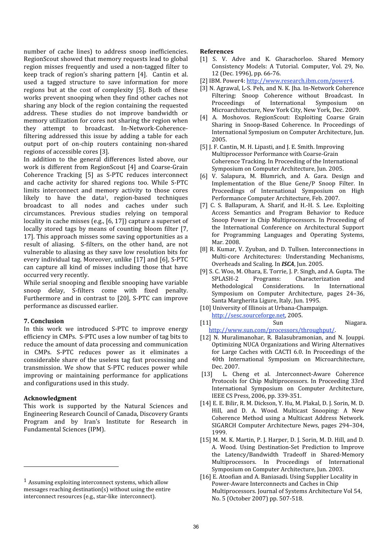number
 of
 cache
 lines)
 to
 address
 snoop
 inefficiencies. RegionScout
showed
that
memory
requests
lead
to
global region misses frequently and used a non-tagged filter to keep track of region's sharing pattern [4]. Cantin et al. used
 a
 tagged
 structure
 to
 save
 information
 for
 more regions but at the cost of complexity [5]. Both of these works
prevent
snooping
when
 they
 find
other
caches
not sharing
any
 block
 of
 the
 region
 containing
 the
 requested address.
 These
 studies
 do
 not
 improve
 bandwidth
 or memory
utilization
for
cores
not
sharing
the
region
when they
 attempt
 to
 broadcast.
 In‐Network‐Coherence‐ filtering addressed this issue by adding a table for each output port of on-chip routers containing non-shared regions
of
accessible
cores
[3].

In
 addition
 to
 the
 general
 differences
 listed
 above,
 our work is different from RegionScout [4] and Coarse-Grain Coherence
 Tracking
 [5]
 as
 S‐PTC
 reduces
 interconnect and
 cache
 activity
 for
 shared
 regions
 too.
 While
 S‐PTC limits
 interconnect
 and
 memory
 activity
 to
 those
 cores likely to have the data<sup>1</sup>, region-based techniques broadcast
 to
 all
 nodes
 and
 caches
 under
 such circumstances.
 Previous
 studies
 relying
 on
 temporal locality in cache misses (e.g., [6, 17]) capture a superset of locally stored tags by means of counting bloom filter [7, 17].
This
approach
misses
some
saving
opportunities
as
a result of aliasing. S-filters, on the other hand, are not vulnerable
to
aliasing
as
they
save
low
resolution
bits
 for every
individual
tag.
Moreover,
unlike
[17]
and
[6],
S‐PTC can
 capture
 all
 kind
 of
 misses
 including
 those
 that
 have occurred
very
recently.

While
serial
snooping
and
flexible
snooping
have
variable snoop delay, S-filters come with fixed penalty. Furthermore and in contrast to [20], S-PTC can improve performance
as
discussed
earlier.

# **7. Conclusion**

In this work we introduced S-PTC to improve energy efficiency
in
CMPs.

S‐PTC
uses
a
low
number
of
tag
bits
to reduce
the
amount
of
data
processing
and
communication in
 CMPs.
 S‐PTC
 reduces
 power
 as
 it
 eliminates
 a considerable share of the useless tag fast processing and transmission.
 We
 show
 that
 S‐PTC
 reduces
 power
 while improving
 or
 maintaining
 performance
 for
 applications and
configurations
used
in
this
study.

#### **Acknowledgment**

This
 work
 is supported
 by
 the
 Natural
 Sciences
 and Engineering
Research
Council
of
Canada,
Discovery
Grants Program and by Iran's Institute for Research in Fundamental
Sciences
(IPM).

#### **References**

- [1] S. V. Adve and K. Gharachorloo. Shared Memory Consistency
 Models:
 A
 Tutorial. Computer,
 Vol.
 29, No. 12
(Dec.
1996),
pp.
66‐76.
- [2] IBM. Power4: http://www.research.ibm.com/power4.
- [3] N. Agrawal, L-S. Peh, and N. K. Jha. In-Network Coherence Filtering:
 Snoop
 Coherence
 without
 Broadcast. In Proceedings
 of
 International
 Symposium
 on Microarchitecture,
New
York
City,
New
York,
Dec.
2009.
- [4] A. Moshovos. RegionScout: Exploiting Coarse Grain Sharing
 in
 Snoop‐Based
 Coherence.
 In
 Proceedings
 of International
Symposium
on
Computer
Architecture,
Jun. 2005.
- [5] J. F. Cantin, M. H. Lipasti, and J. E. Smith. Improving Multiprocessor
Performance
with
Coarse‐Grain Coherence
Tracking.
In
Proceeding
of
the
International Symposium
on
Computer
Architecture,
Jun.
2005.
- [6] V. Salapura, M. Blumrich, and A. Gara. Design and Implementation
 of
 the
 Blue
 Gene/P
 Snoop
 Filter.
 In Proceedings of International Symposium on High Performance
Computer
Architecture,
Feb.
2007.
- [7] C. S. Ballapuram, A. Sharif, and H.-H. S. Lee. Exploiting Access Semantics and Program Behavior to Reduce Snoop
 Power
in
 Chip
Multiprocessors.
 In
 Proceeding
 of the
 International
 Conference
 on
 Architectural
 Support for
 Programming
 Languages
 and
 Operating
 Systems, Mar.
2008.
- [8] R. Kumar, V. Zyuban, and D. Tullsen. Interconnections in Multi-core Architectures: Understanding Mechanisms, Overheads
and
Scaling.
In *ISCA*,
Jun.
2005.
- [9] S. C. Woo, M. Ohara, E. Torrie, J. P. Singh, and A. Gupta. The SPLASH‐2
 Programs:
 Characterization
 and Methodological
 Considerations.
 In
 International Symposium
 on
 Computer
 Architecture,
 pages
 24–36, Santa
Margherita
Ligure,
Italy,
Jun.
1995.
- [10] University of Illinois at Urbana-Champaign. http://sesc.sourceforge.net,
2005.

[11] Sun
 Niagara.

- http://www.sun.com/processors/throughput/.
- [12] N. Muralimanohar, R. Balasubramonian, and N. Jouppi. Optimizing
NUCA
Organizations
and
Wiring
Alternatives for Large Caches with CACTI 6.0. In Proceedings of the 40th
 International
 Symposium
 on Microarchitecture, Dec.
2007.
- [13] L. Cheng et al. .Interconnect-Aware Coherence Protocols
 for
 Chip
 Multiprocessors.
 In
 Proceeding
 33rd International
 Symposium
 on
 Computer
 Architecture, IEEE
CS
Press,
2006,
pp.
339‐351.
- [14] E. E. Bilir, R. M. Dickson, Y. Hu, M. Plakal, D. J. Sorin, M. D. Hill, and D. A. Wood. Multicast Snooping: A New Coherence
 Method
 using
 a
 Multicast
 Address
 Network. SIGARCH
 Computer
Architecture
News,
 pages
 294–304, 1999.
- [15] M. M. K. Martin, P. J. Harper, D. J. Sorin, M. D. Hill, and D. A.
 Wood.
 Using
 Destination‐Set
 Prediction
 to
 Improve the
 Latency/Bandwidth
 Tradeoff
 in
 Shared‐Memory Multiprocessors.
 In
 Proceedings
 of
 International Symposium
on
Computer
Architecture,
Jun.
2003.
- [16] E. Atoofian and A. Baniasadi. Using Supplier Locality in Power‐Aware
Interconnects
and
Caches
in
Chip Multiprocessors. Journal of Systems Architecture Vol 54, No.
5
(October
2007)
pp.
507‐518.

<sup>1</sup> Assuming
exploiting
interconnect
systems,
which
allow messages
reaching
destination(s)
without
using
the
entire interconnect resources (e.g., star-like interconnect).